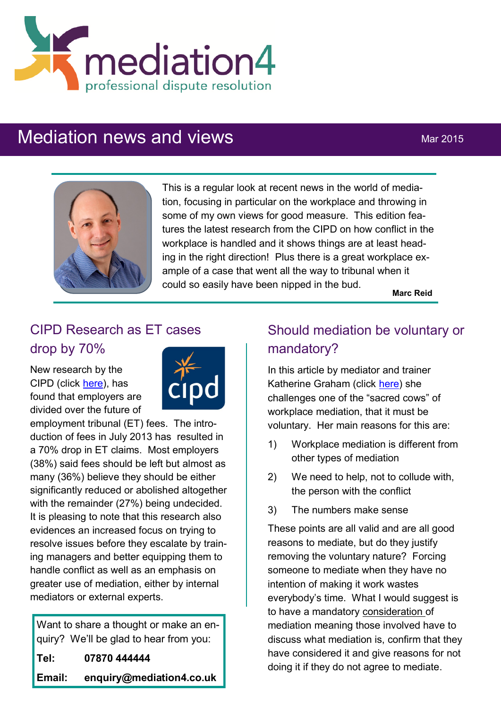

# Mediation news and views Mar 2015



This is a regular look at recent news in the world of mediation, focusing in particular on the workplace and throwing in some of my own views for good measure. This edition features the latest research from the CIPD on how conflict in the workplace is handled and it shows things are at least heading in the right direction! Plus there is a great workplace example of a case that went all the way to tribunal when it could so easily have been nipped in the bud.

**Marc Reid**

### CIPD Research as ET cases drop by 70%

New research by the CIPD (click [here\)](http://www.cipd.co.uk/pressoffice/press-releases/tribunalfees-research-170315.aspx), has found that employers are divided over the future of



employment tribunal (ET) fees. The introduction of fees in July 2013 has resulted in a 70% drop in ET claims. Most employers (38%) said fees should be left but almost as many (36%) believe they should be either significantly reduced or abolished altogether with the remainder (27%) being undecided. It is pleasing to note that this research also evidences an increased focus on trying to resolve issues before they escalate by training managers and better equipping them to handle conflict as well as an emphasis on greater use of mediation, either by internal mediators or external experts.

Want to share a thought or make an enquiry? We'll be glad to hear from you: **Tel: 07870 444444 Email: enquiry@mediation4.co.uk**

## Should mediation be voluntary or mandatory?

In this article by mediator and trainer Katherine Graham (click [here\)](http://www.mediate.com/articles/GrahamKbl20150321.cfm) she challenges one of the "sacred cows" of workplace mediation, that it must be voluntary. Her main reasons for this are:

- 1) Workplace mediation is different from other types of mediation
- 2) We need to help, not to collude with, the person with the conflict
- 3) The numbers make sense

These points are all valid and are all good reasons to mediate, but do they justify removing the voluntary nature? Forcing someone to mediate when they have no intention of making it work wastes everybody's time. What I would suggest is to have a mandatory consideration of mediation meaning those involved have to discuss what mediation is, confirm that they have considered it and give reasons for not doing it if they do not agree to mediate.